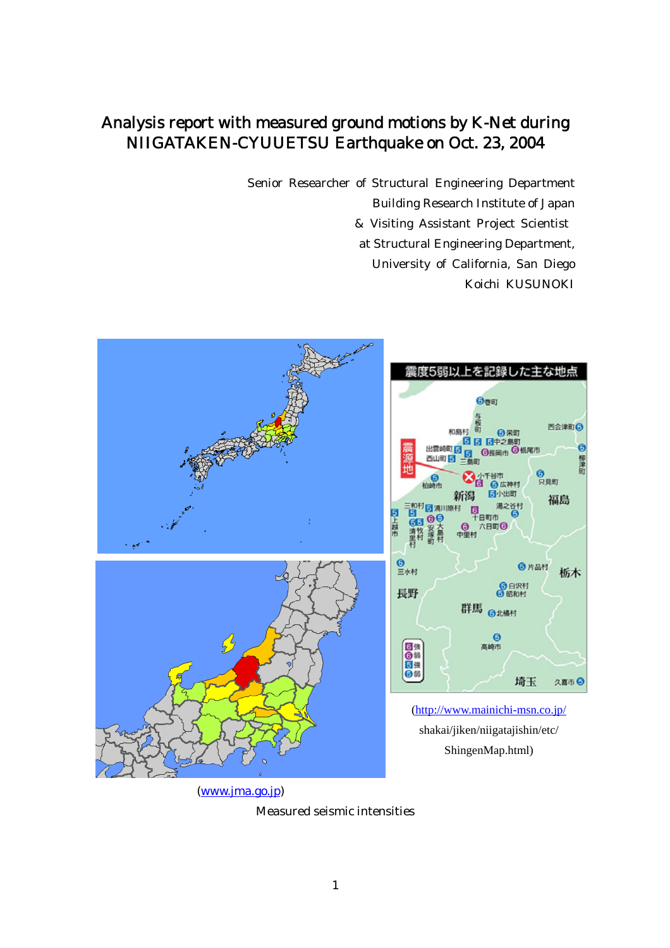# Analysis report with measured ground motions by K-Net during NIIGATAKEN-CYUUETSU Earthquake on Oct. 23, 2004

Senior Researcher of Structural Engineering Department Building Research Institute of Japan & Visiting Assistant Project Scientist at Structural Engineering Department, University of California, San Diego Koichi KUSUNOKI



(www.jma.go.jp)

Measured seismic intensities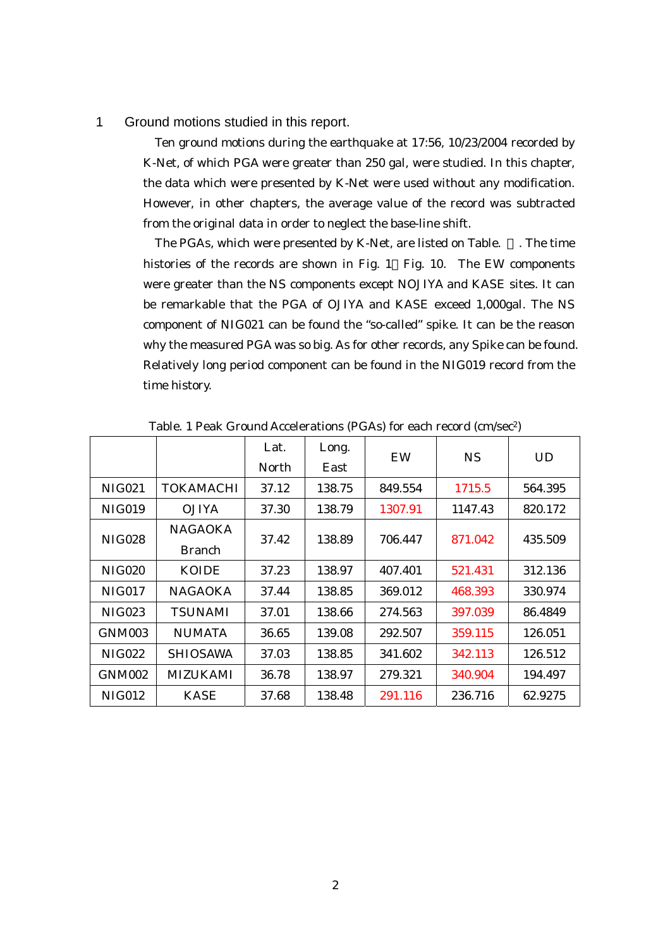#### 1 Ground motions studied in this report.

Ten ground motions during the earthquake at 17:56, 10/23/2004 recorded by K-Net, of which PGA were greater than 250 gal, were studied. In this chapter, the data which were presented by K-Net were used without any modification. However, in other chapters, the average value of the record was subtracted from the original data in order to neglect the base-line shift.

The PGAs, which were presented by K-Net, are listed on Table. . The time histories of the records are shown in Fig. 1 Fig. 10. The EW components were greater than the NS components except NOJIYA and KASE sites. It can be remarkable that the PGA of OJIYA and KASE exceed 1,000gal. The NS component of NIG021 can be found the "so-called" spike. It can be the reason why the measured PGA was so big. As for other records, any Spike can be found. Relatively long period component can be found in the NIG019 record from the time history.

|               |                  | Lat.  | Long.  | EW      | <b>NS</b> | <b>UD</b> |
|---------------|------------------|-------|--------|---------|-----------|-----------|
|               |                  | North | East   |         |           |           |
| <b>NIG021</b> | <b>TOKAMACHI</b> | 37.12 | 138.75 | 849.554 | 1715.5    | 564.395   |
| <b>NIG019</b> | <b>OJIYA</b>     | 37.30 | 138.79 | 1307.91 | 1147.43   | 820.172   |
| <b>NIG028</b> | <b>NAGAOKA</b>   | 37.42 | 138.89 | 706.447 | 871.042   | 435.509   |
|               | <b>Branch</b>    |       |        |         |           |           |
| <b>NIG020</b> | <b>KOIDE</b>     | 37.23 | 138.97 | 407.401 | 521.431   | 312.136   |
| <b>NIG017</b> | <b>NAGAOKA</b>   | 37.44 | 138.85 | 369.012 | 468.393   | 330.974   |
| <b>NIG023</b> | <b>TSUNAMI</b>   | 37.01 | 138.66 | 274.563 | 397.039   | 86.4849   |
| GNM003        | <b>NUMATA</b>    | 36.65 | 139.08 | 292.507 | 359.115   | 126.051   |
| <b>NIG022</b> | <b>SHIOSAWA</b>  | 37.03 | 138.85 | 341.602 | 342.113   | 126.512   |
| GNM002        | MIZUKAMI         | 36.78 | 138.97 | 279.321 | 340.904   | 194.497   |
| <b>NIG012</b> | <b>KASE</b>      | 37.68 | 138.48 | 291.116 | 236.716   | 62.9275   |

Table. 1 Peak Ground Accelerations (PGAs) for each record (cm/sec2)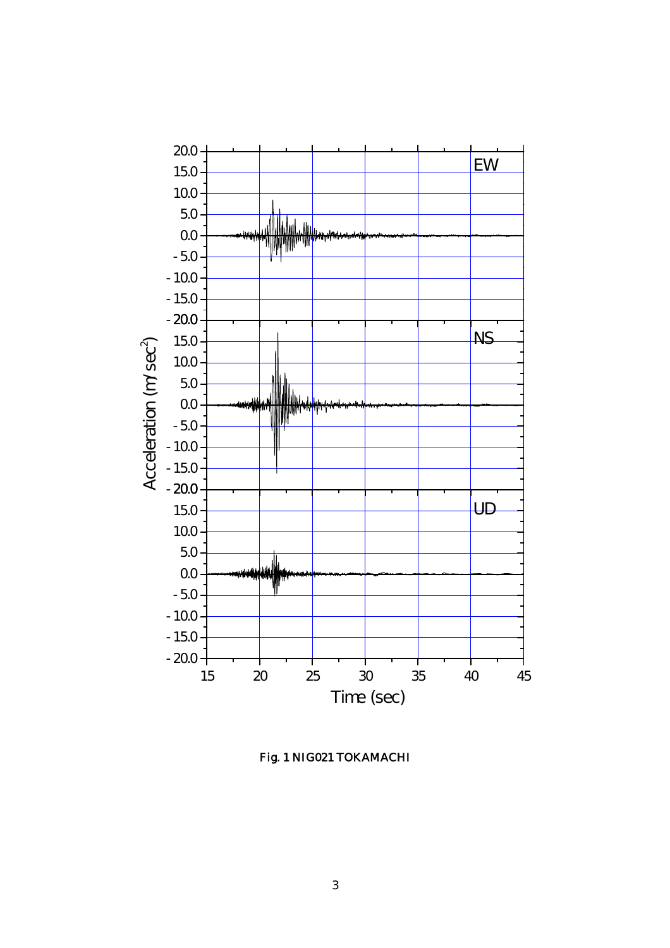

Fig. 1 NIG021 TOKAMACHI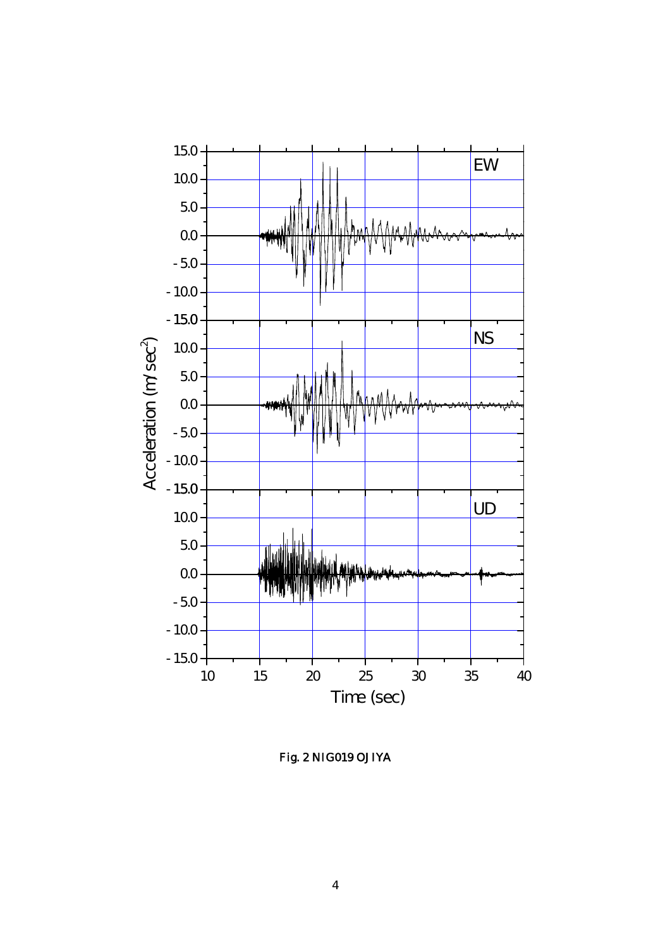

Fig. 2 NIG019 OJIYA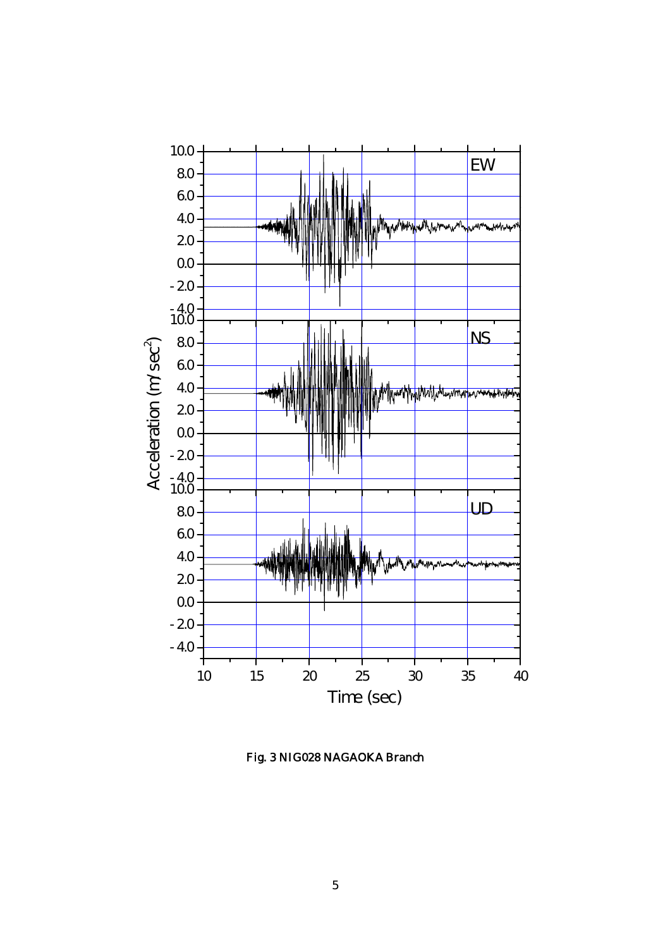

Fig. 3 NIG028 NAGAOKA Branch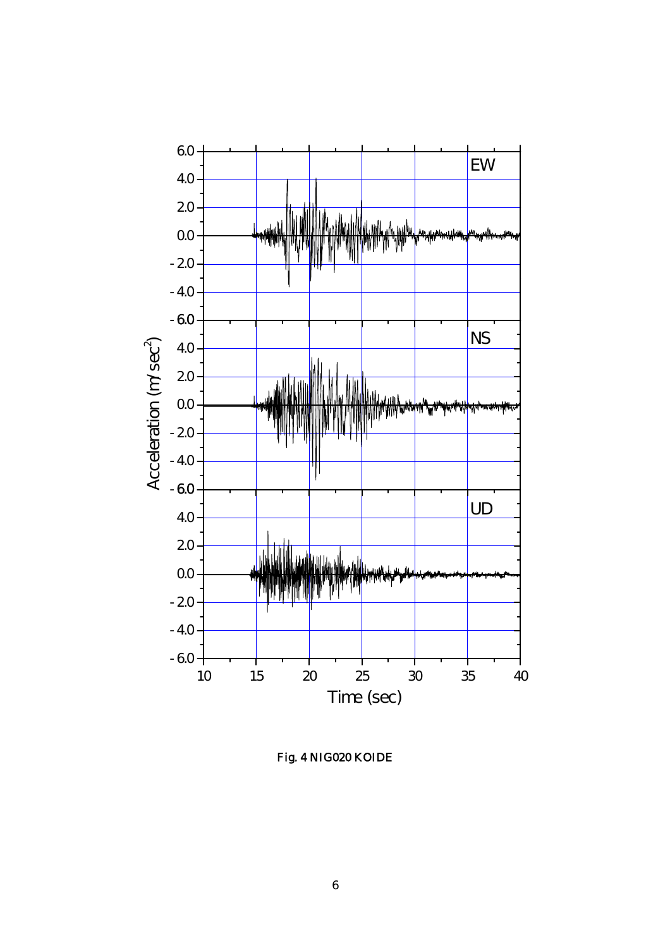

Fig. 4 NIG020 KOIDE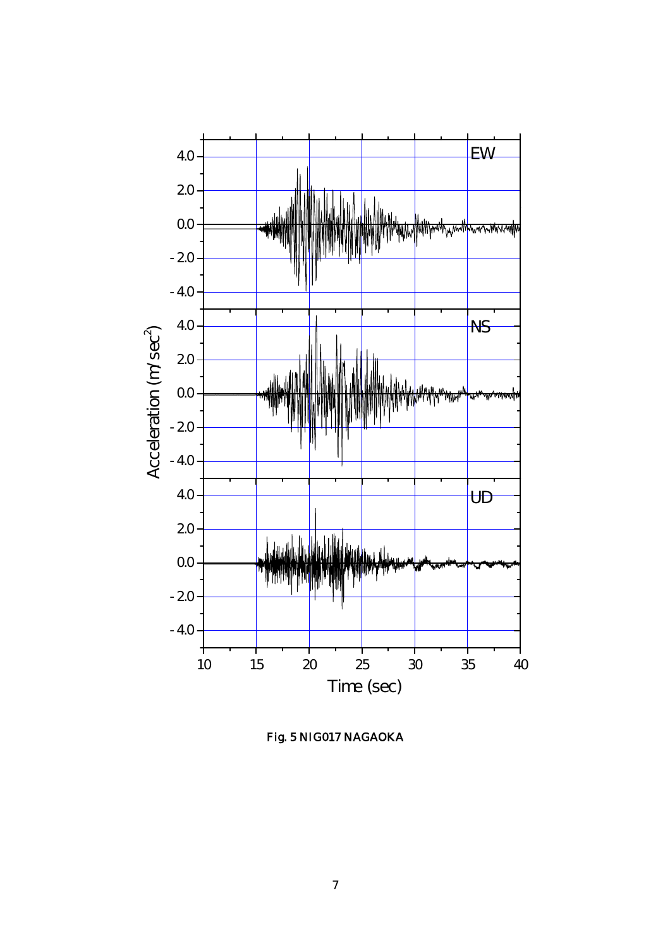

Fig. 5 NIG017 NAGAOKA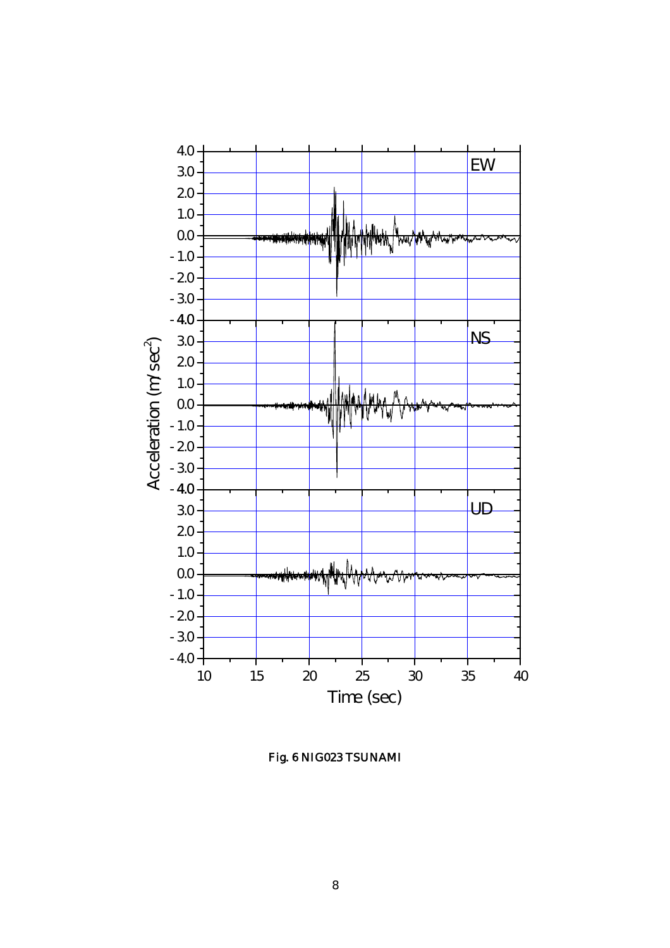

Fig. 6 NIG023 TSUNAMI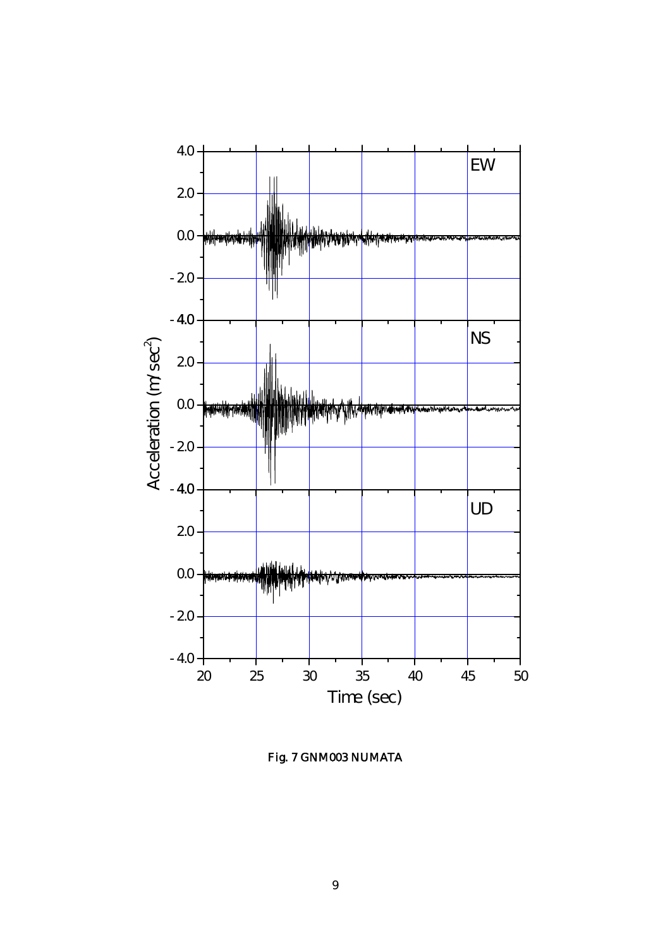

Fig. 7 GNM003 NUMATA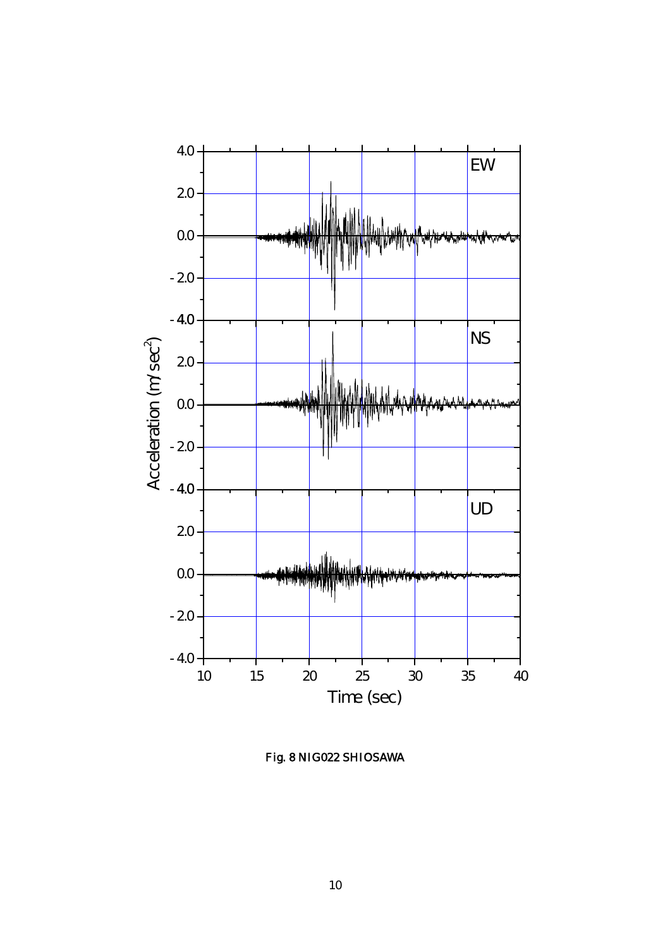

Fig. 8 NIG022 SHIOSAWA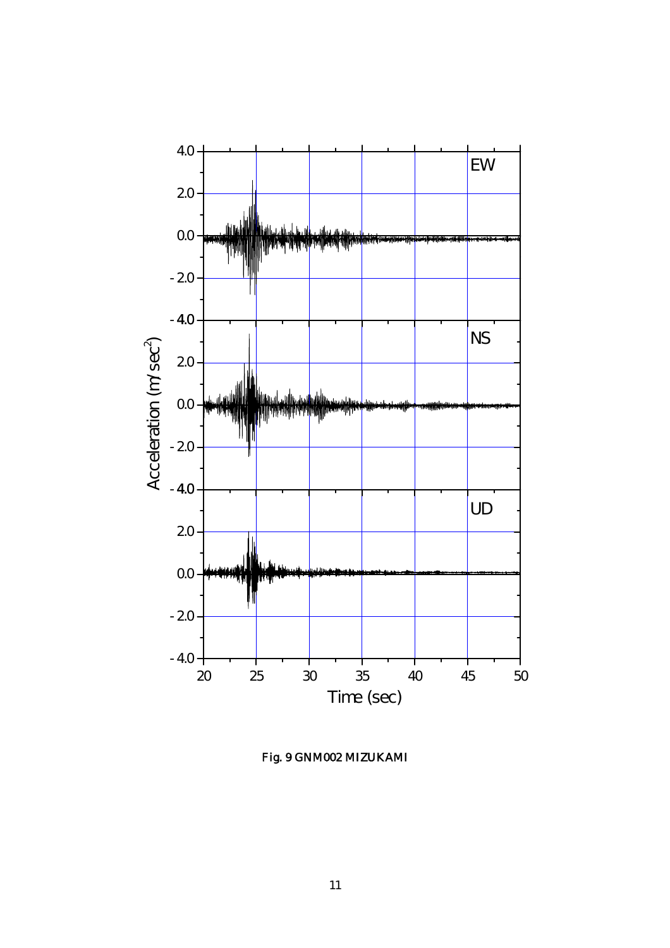

Fig. 9 GNM002 MIZUKAMI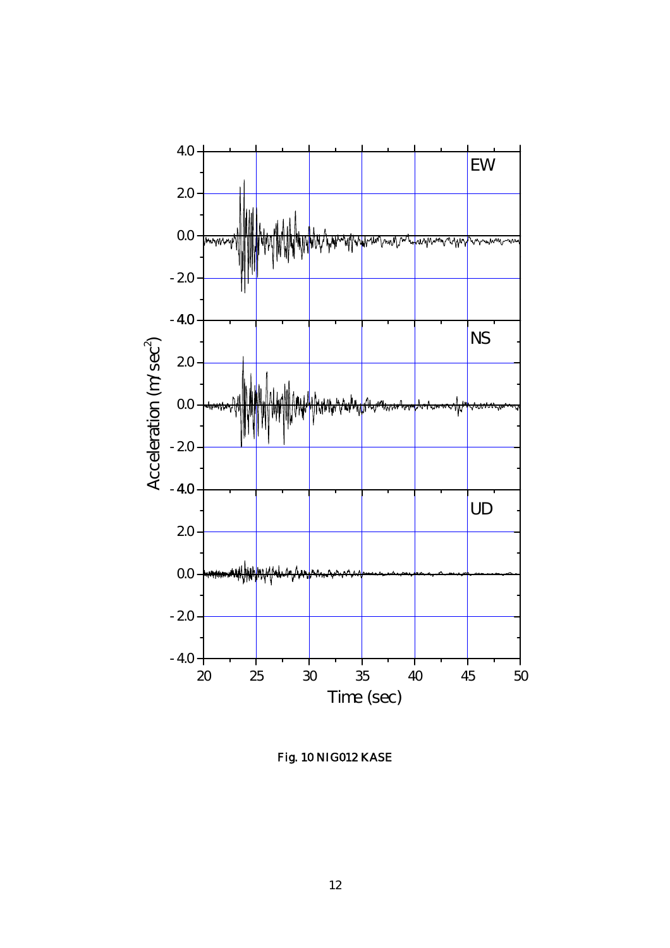

Fig. 10 NIG012 KASE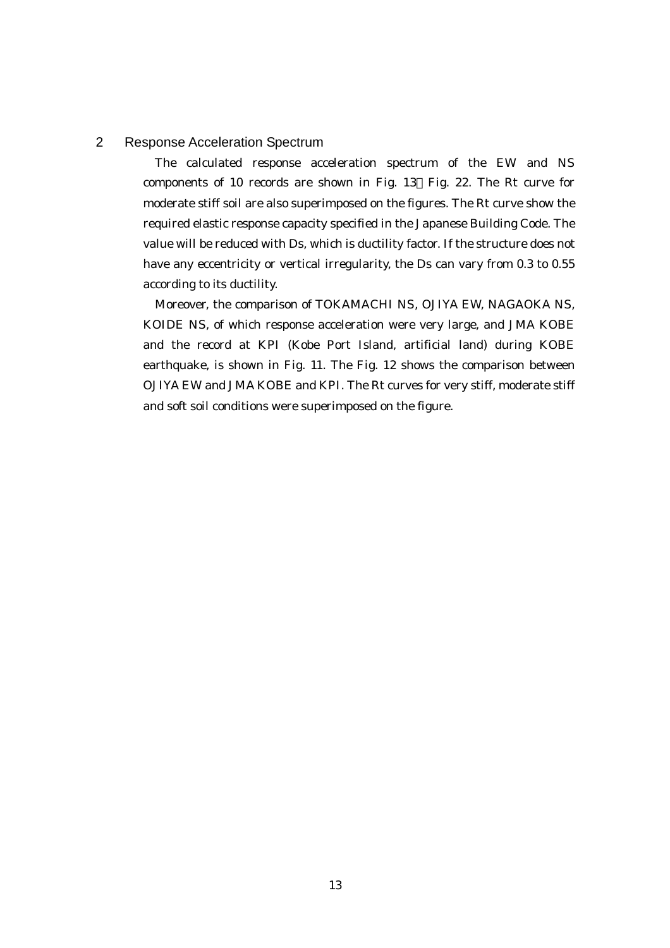# 2 Response Acceleration Spectrum

The calculated response acceleration spectrum of the EW and NS components of 10 records are shown in Fig. 13 Fig. 22. The Rt curve for moderate stiff soil are also superimposed on the figures. The Rt curve show the required elastic response capacity specified in the Japanese Building Code. The value will be reduced with Ds, which is ductility factor. If the structure does not have any eccentricity or vertical irregularity, the Ds can vary from 0.3 to 0.55 according to its ductility.

Moreover, the comparison of TOKAMACHI NS, OJIYA EW, NAGAOKA NS, KOIDE NS, of which response acceleration were very large, and JMA KOBE and the record at KPI (Kobe Port Island, artificial land) during KOBE earthquake, is shown in Fig. 11. The Fig. 12 shows the comparison between OJIYA EW and JMA KOBE and KPI. The Rt curves for very stiff, moderate stiff and soft soil conditions were superimposed on the figure.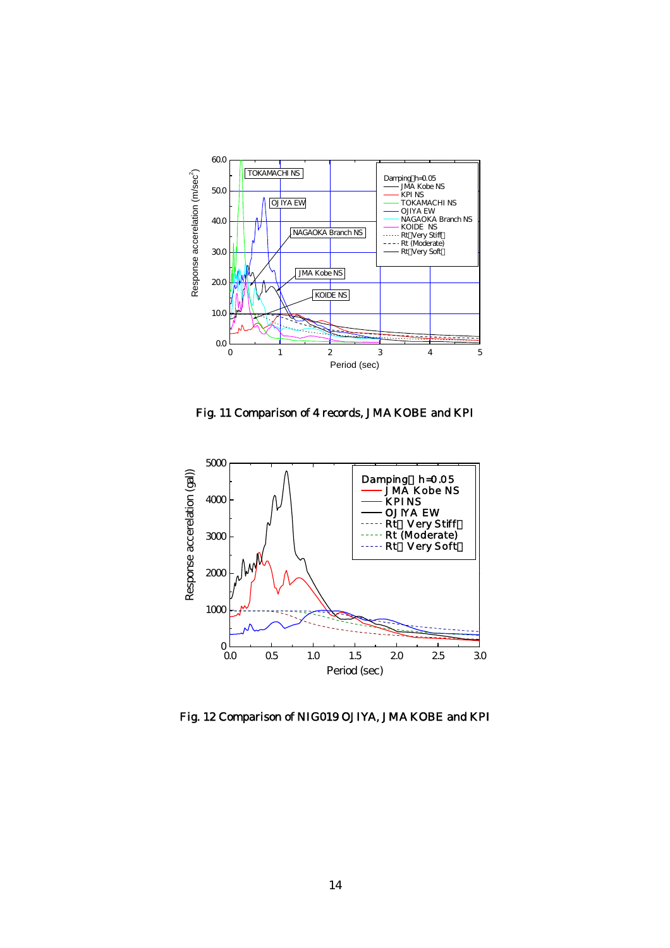

Fig. 11 Comparison of 4 records, JMA KOBE and KPI



Fig. 12 Comparison of NIG019 OJIYA, JMA KOBE and KPI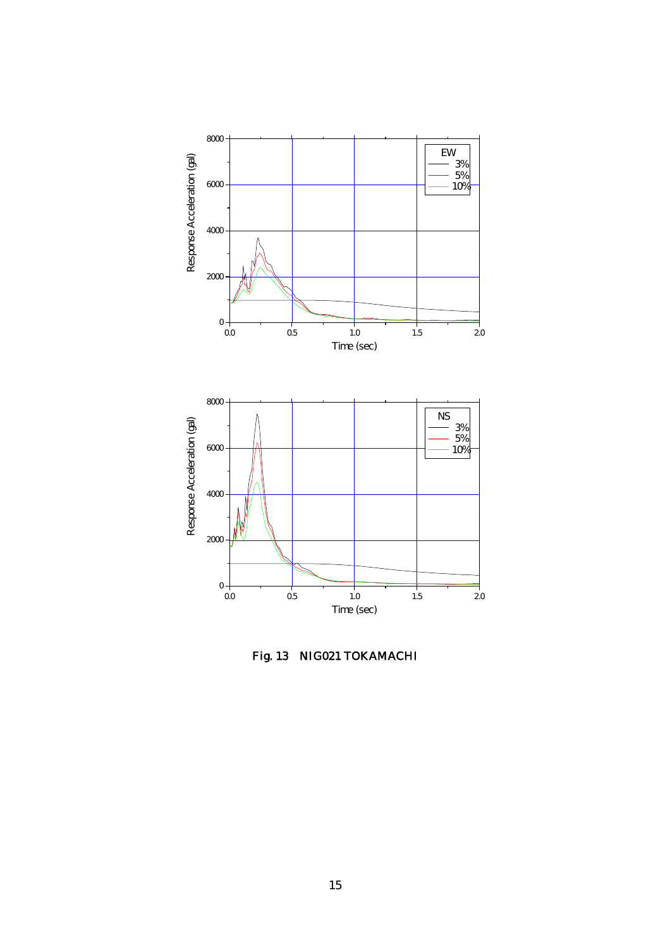

Fig. 13 NIG021 TOKAMACHI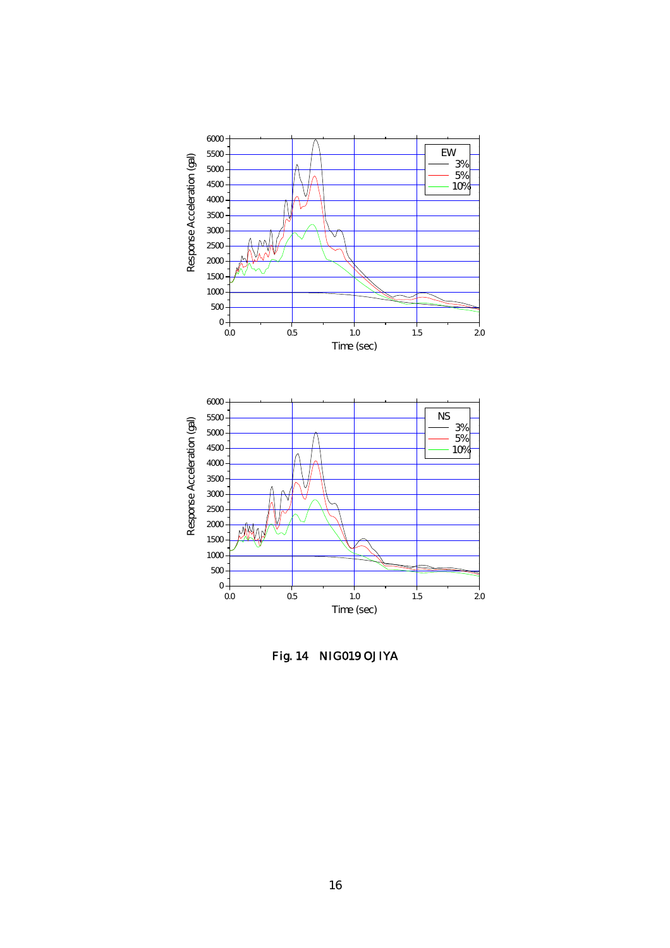

Fig. 14 NIG019 OJIYA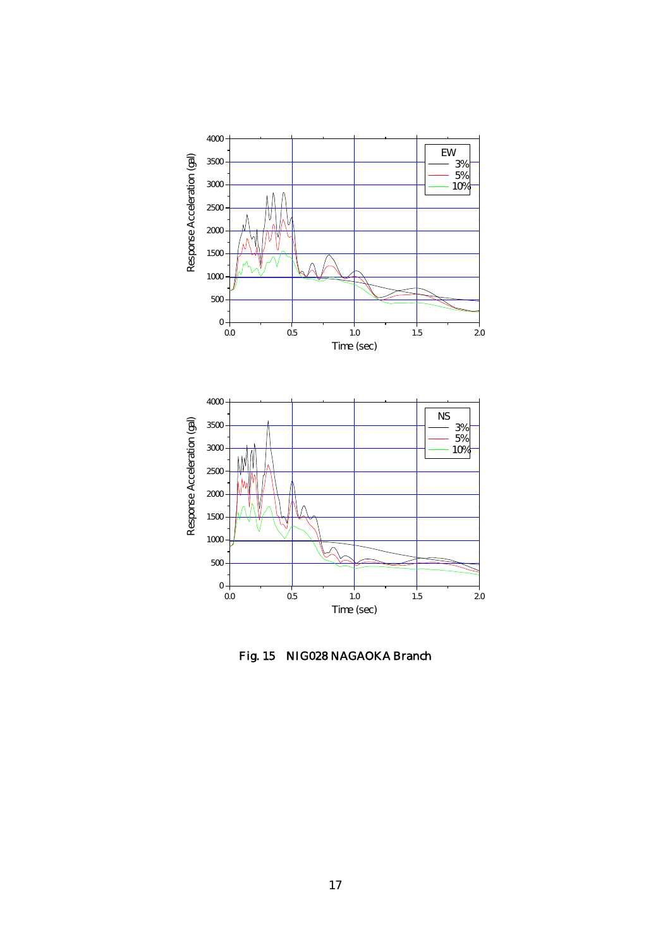

Fig. 15 NIG028 NAGAOKA Branch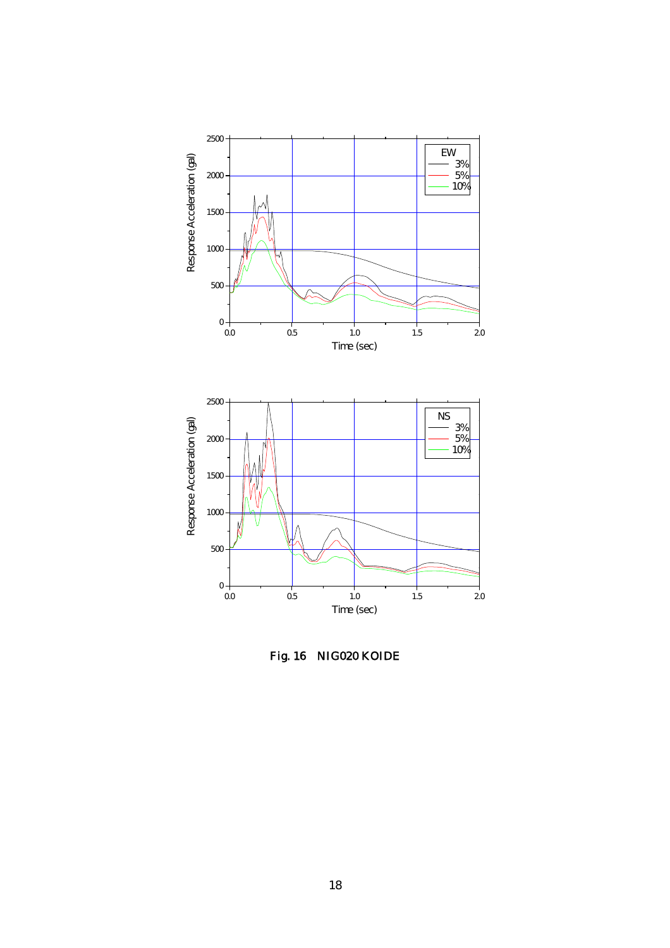

Fig. 16 NIG020 KOIDE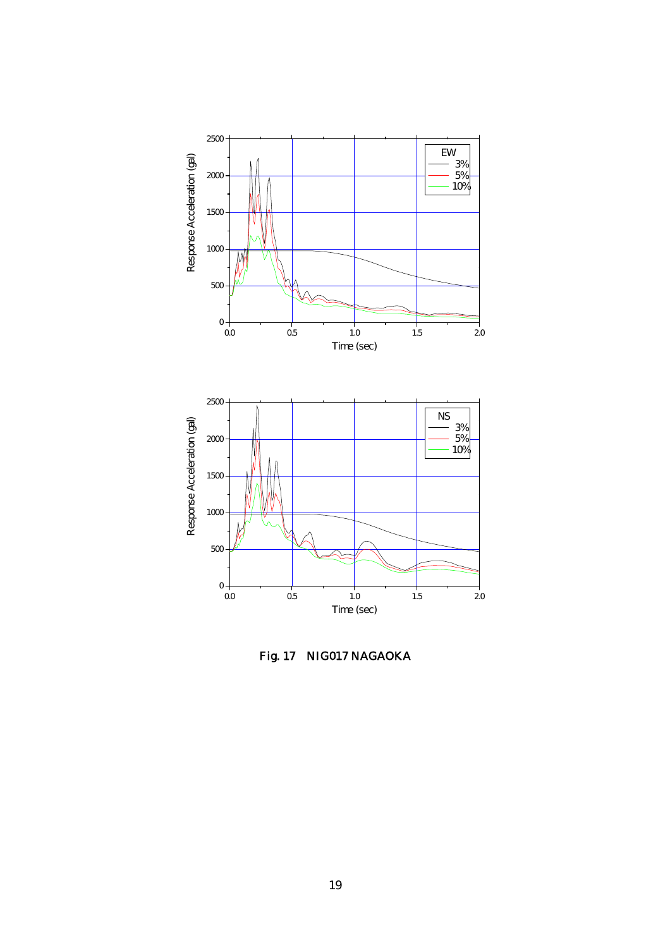

Fig. 17 NIG017 NAGAOKA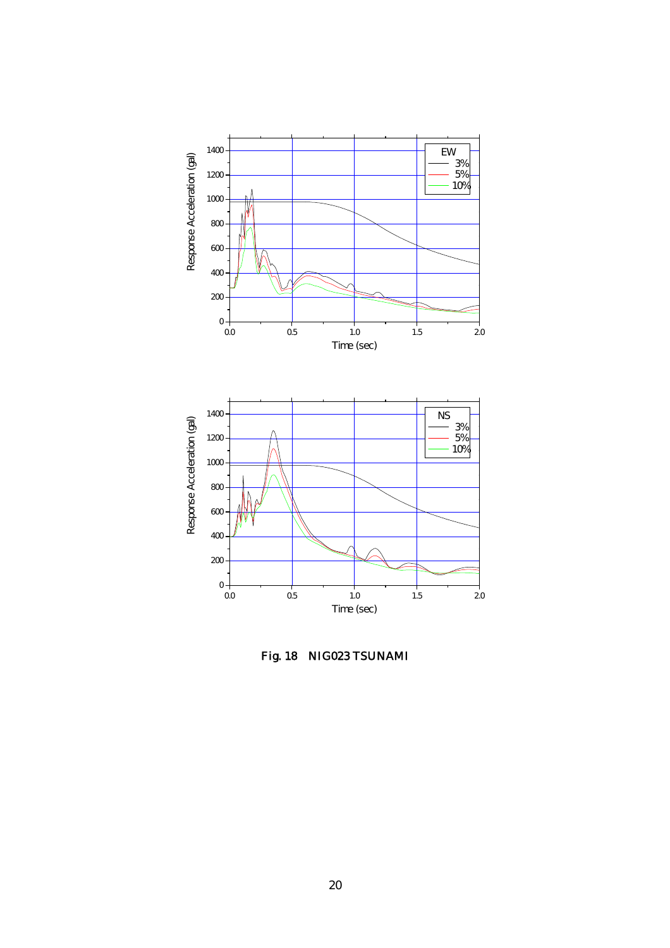

Fig. 18 NIG023 TSUNAMI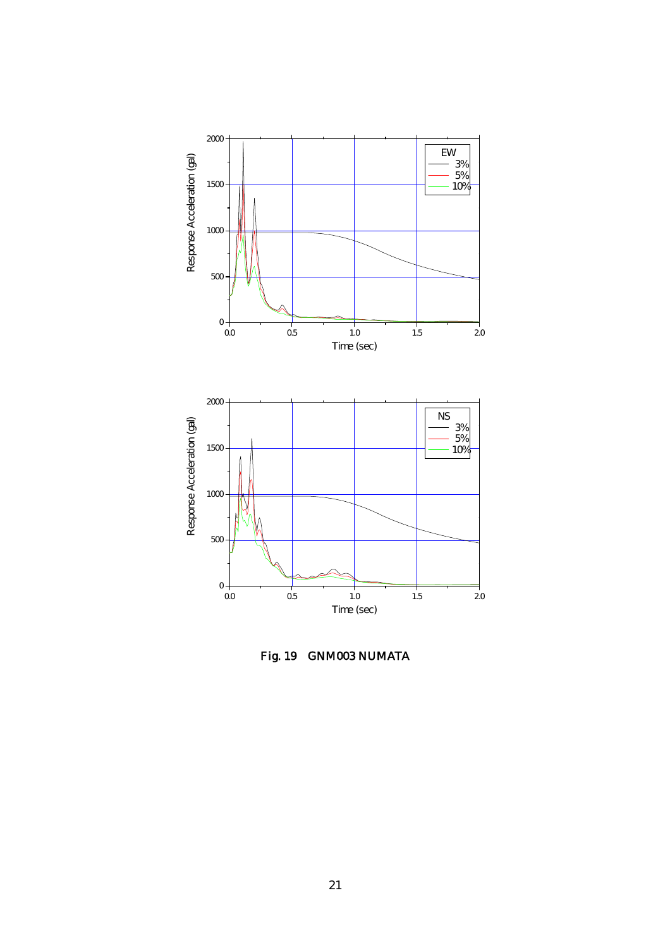

Fig. 19 GNM003 NUMATA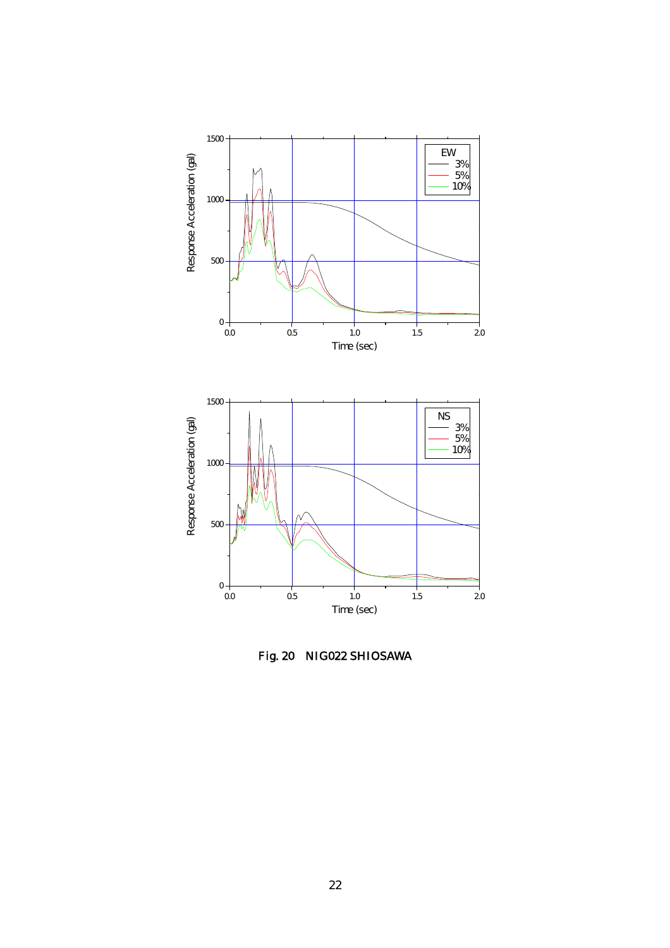

Fig. 20 NIG022 SHIOSAWA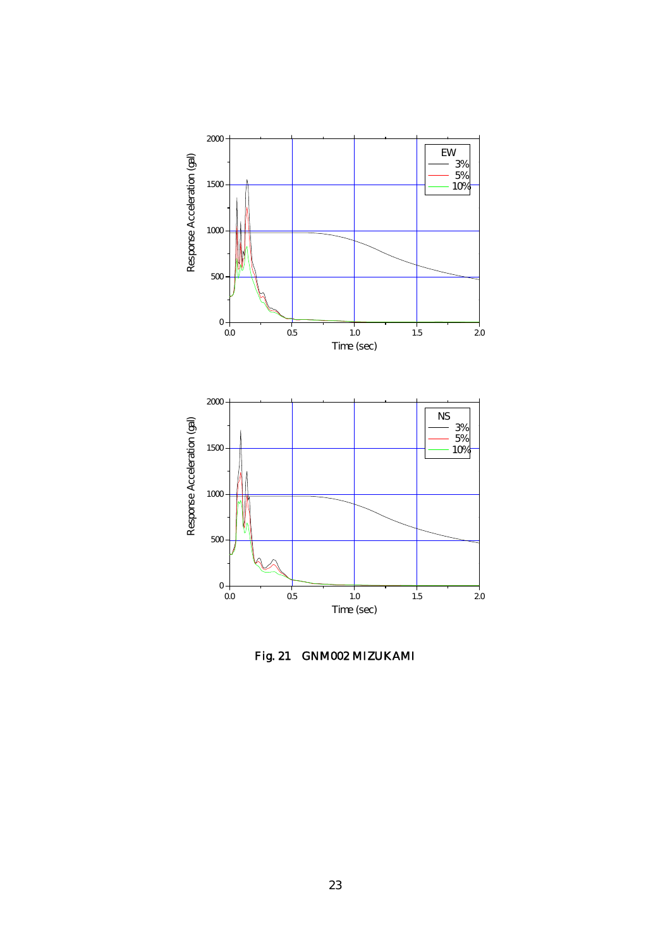

Fig. 21 GNM002 MIZUKAMI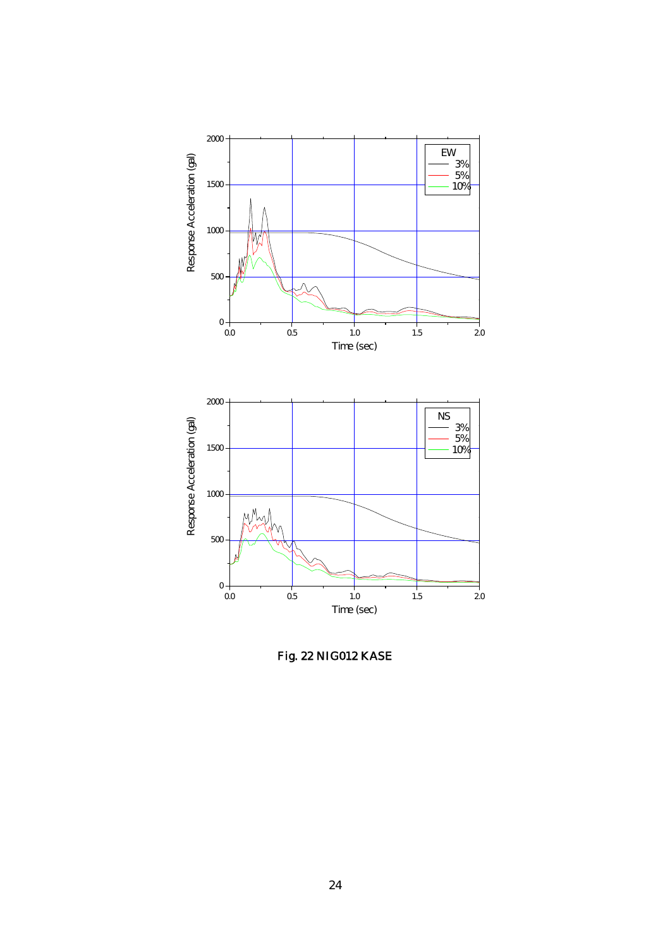

Fig. 22 NIG012 KASE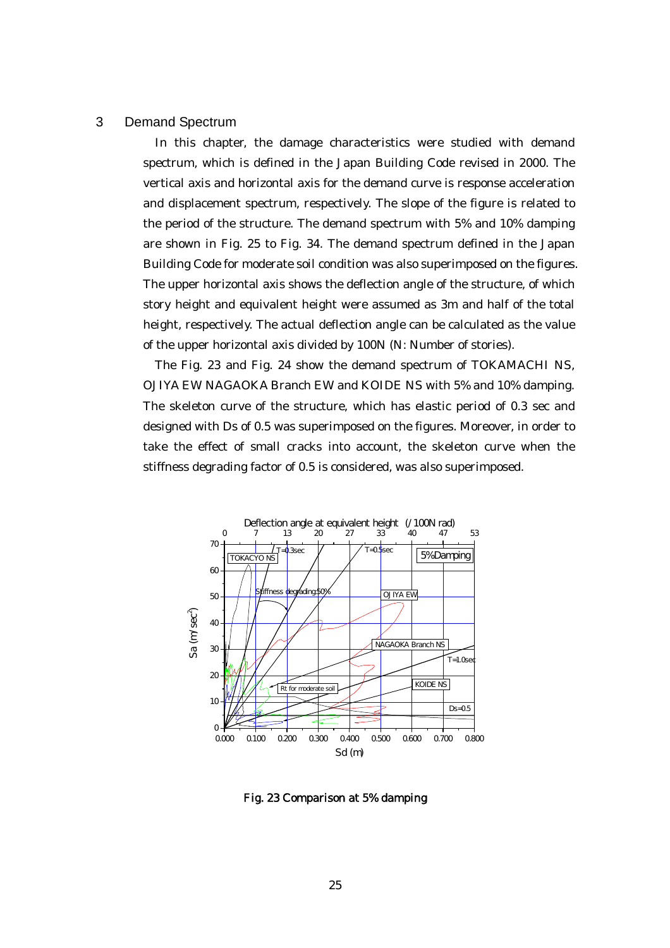#### 3 Demand Spectrum

In this chapter, the damage characteristics were studied with demand spectrum, which is defined in the Japan Building Code revised in 2000. The vertical axis and horizontal axis for the demand curve is response acceleration and displacement spectrum, respectively. The slope of the figure is related to the period of the structure. The demand spectrum with 5% and 10% damping are shown in Fig. 25 to Fig. 34. The demand spectrum defined in the Japan Building Code for moderate soil condition was also superimposed on the figures. The upper horizontal axis shows the deflection angle of the structure, of which story height and equivalent height were assumed as 3m and half of the total height, respectively. The actual deflection angle can be calculated as the value of the upper horizontal axis divided by 100N (N: Number of stories).

The Fig. 23 and Fig. 24 show the demand spectrum of TOKAMACHI NS, OJIYA EW NAGAOKA Branch EW and KOIDE NS with 5% and 10% damping. The skeleton curve of the structure, which has elastic period of 0.3 sec and designed with Ds of 0.5 was superimposed on the figures. Moreover, in order to take the effect of small cracks into account, the skeleton curve when the stiffness degrading factor of 0.5 is considered, was also superimposed.



Fig. 23 Comparison at 5% damping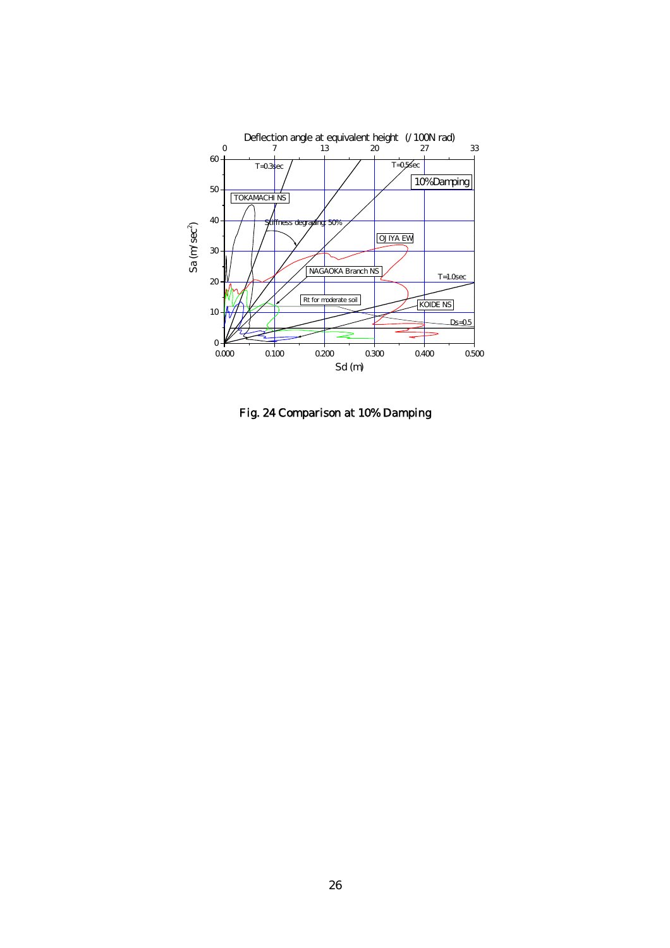

Fig. 24 Comparison at 10% Damping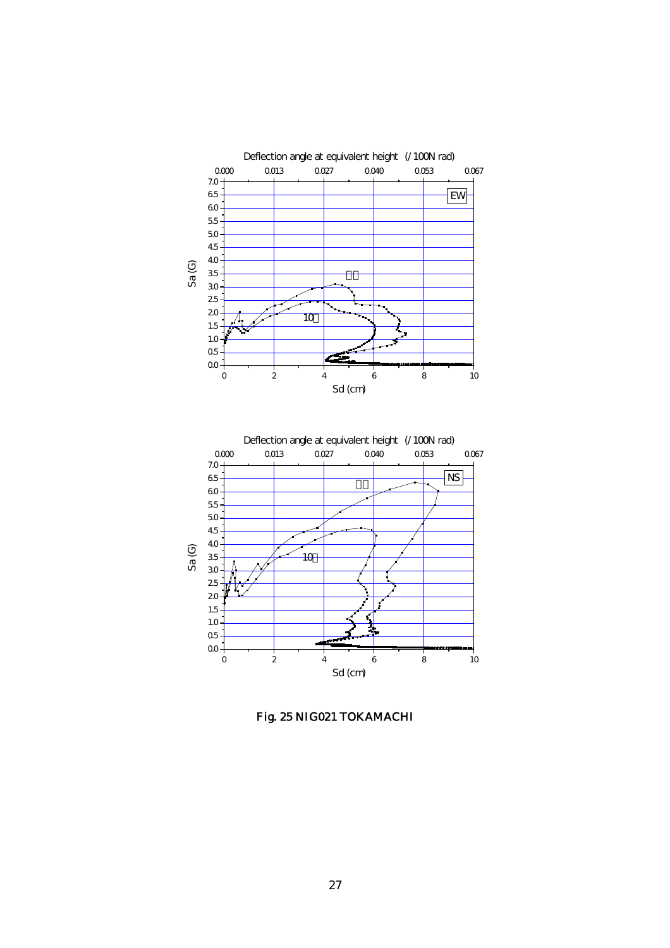

Fig. 25 NIG021 TOKAMACHI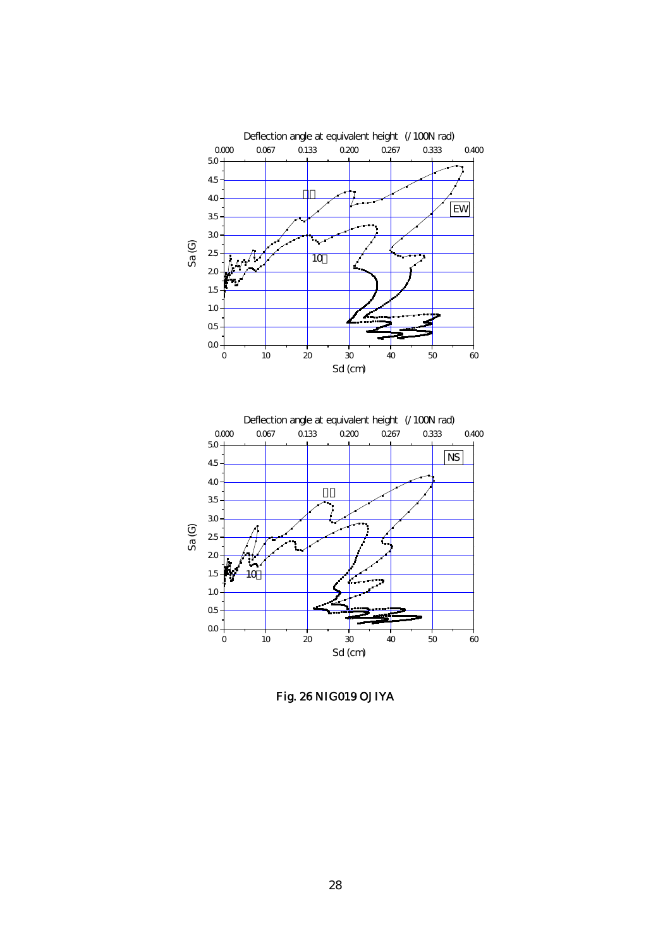

Fig. 26 NIG019 OJIYA

 $00 Q5$ 1.0 1.5 20

10

0 10 20 30 40 50 60

Sd (cm)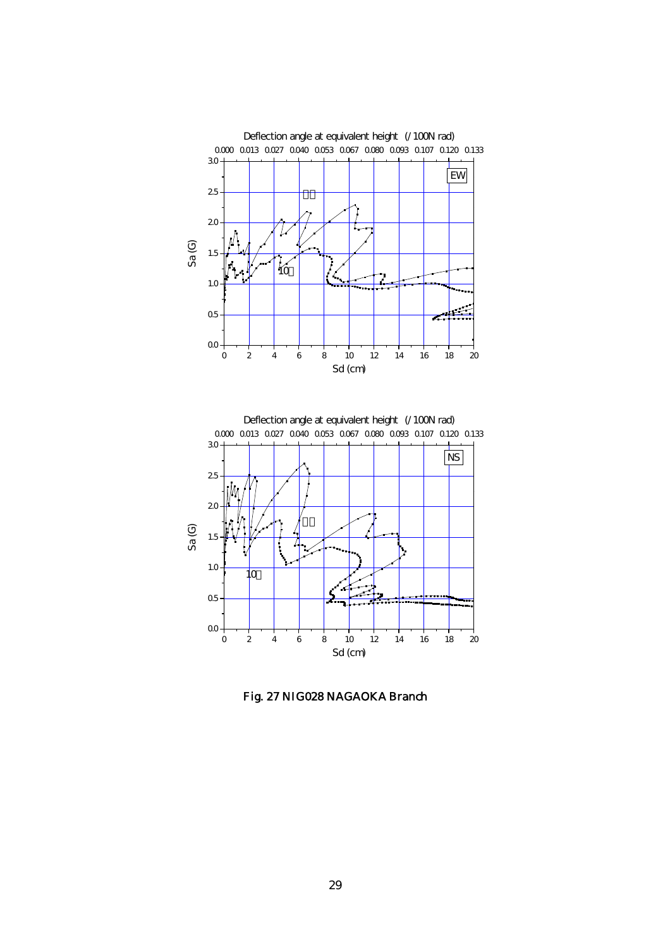



Fig. 27 NIG028 NAGAOKA Branch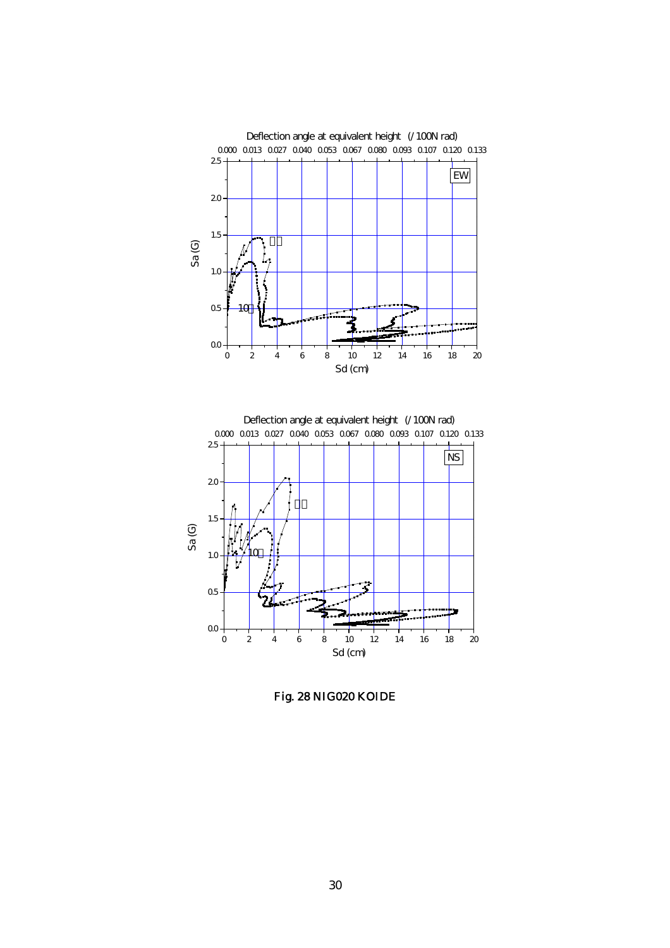



Fig. 28 NIG020 KOIDE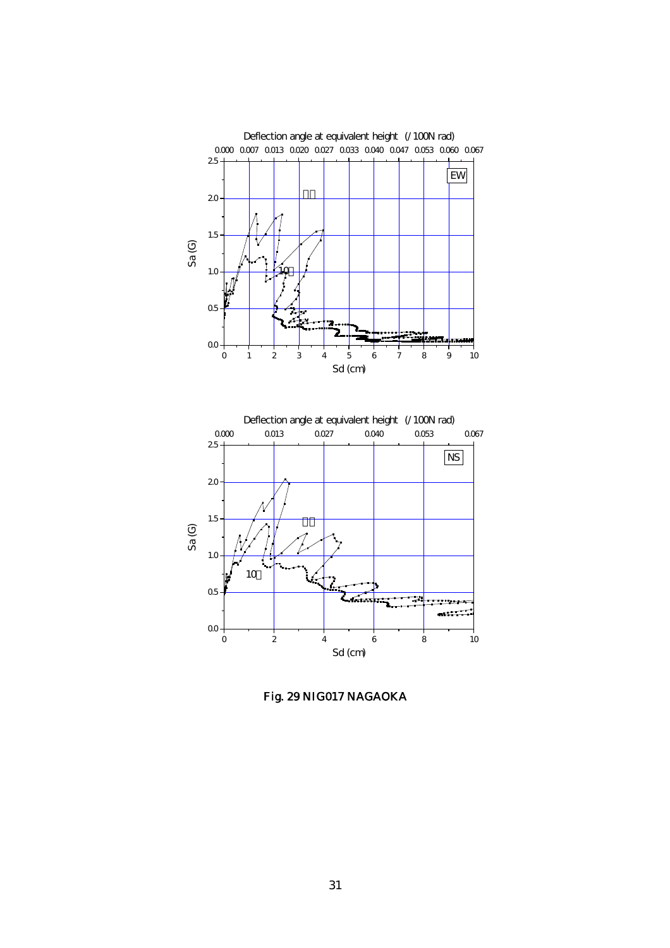

Fig. 29 NIG017 NAGAOKA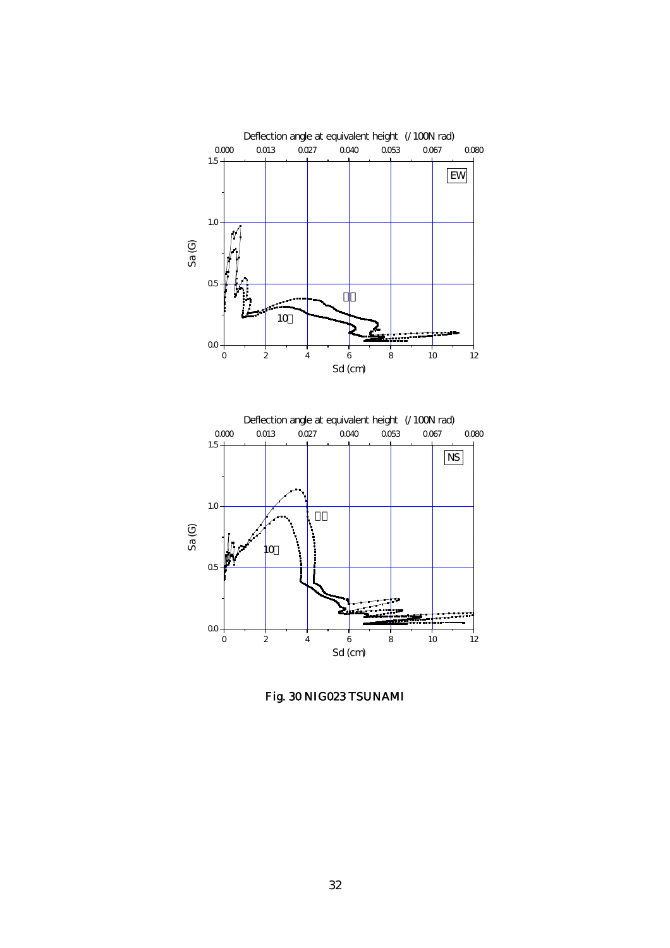

Fig. 30 NIG023 TSUNAMI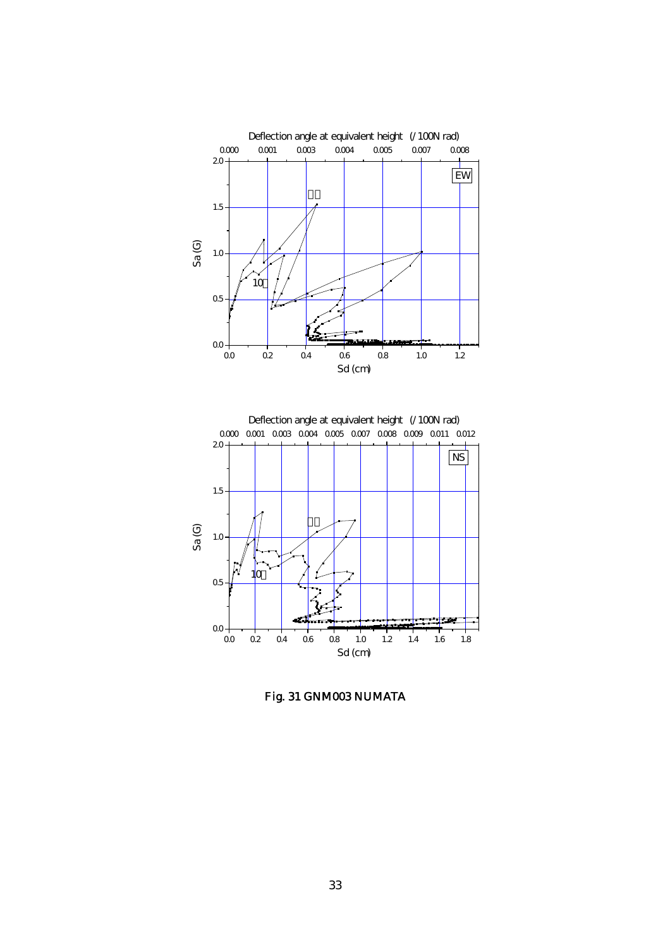



Fig. 31 GNM003 NUMATA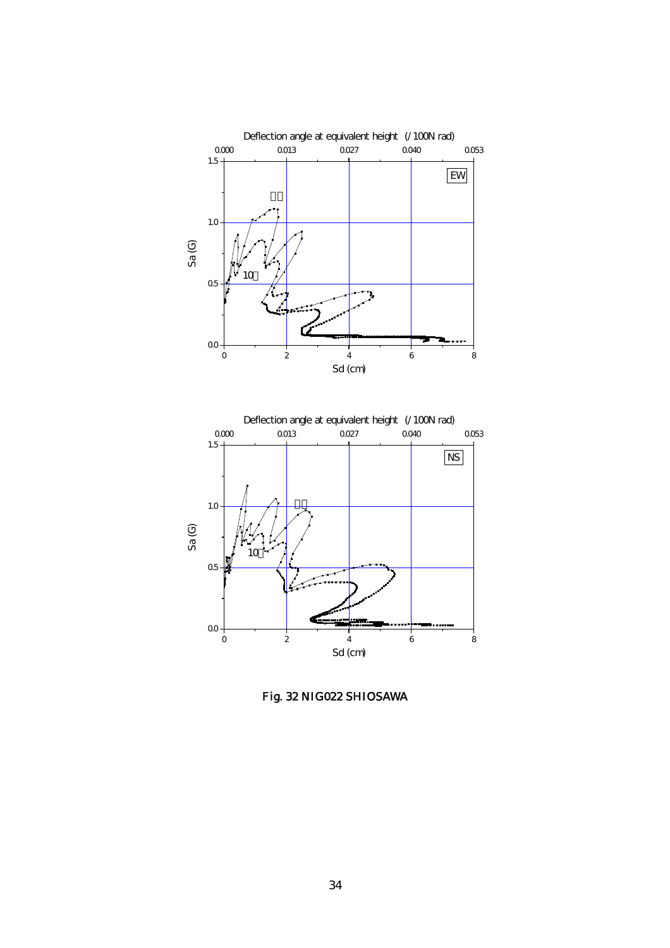

Fig. 32 NIG022 SHIOSAWA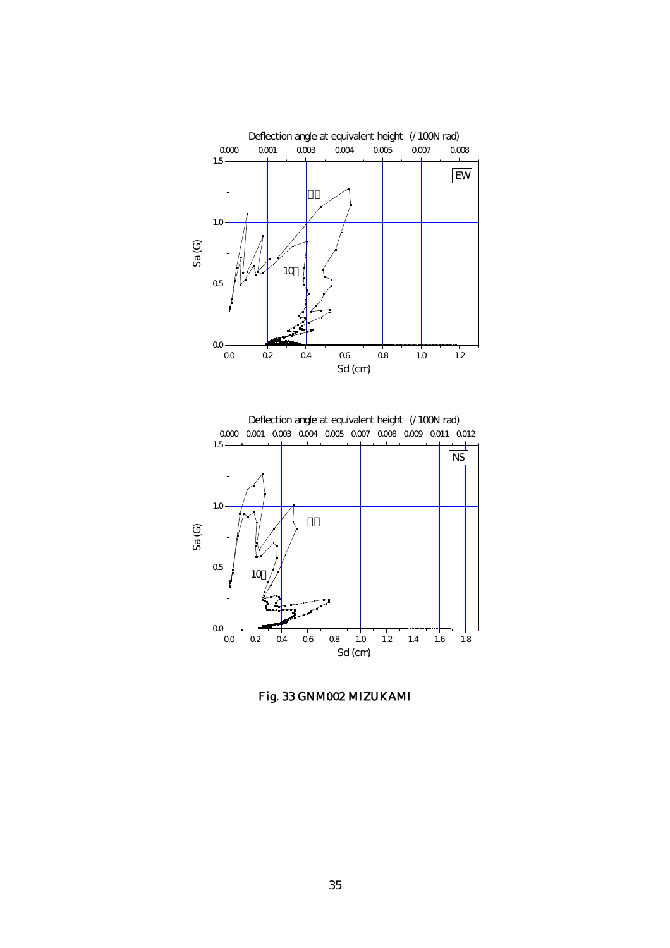

Fig. 33 GNM002 MIZUKAMI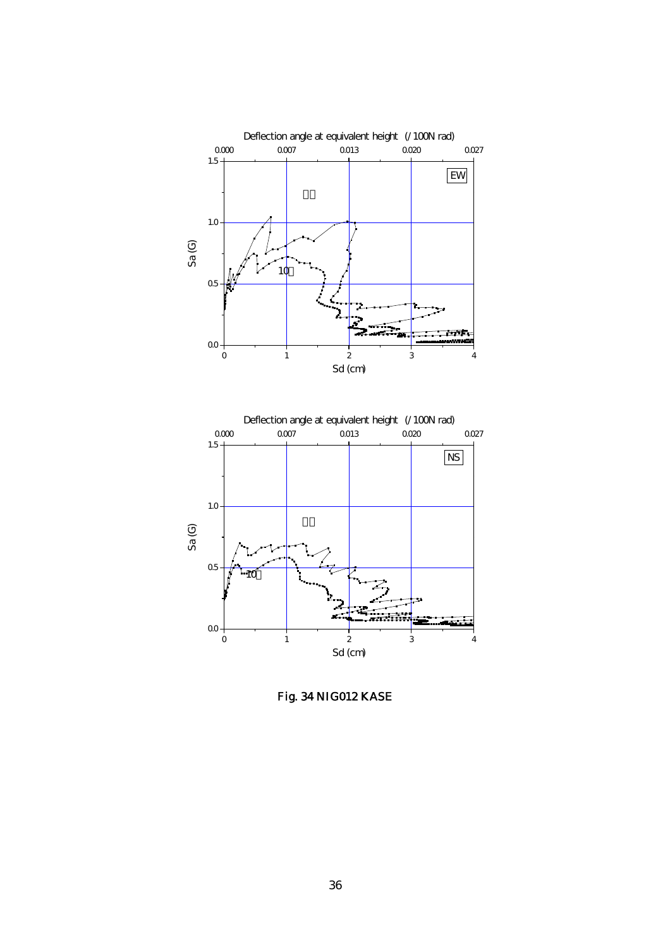

Fig. 34 NIG012 KASE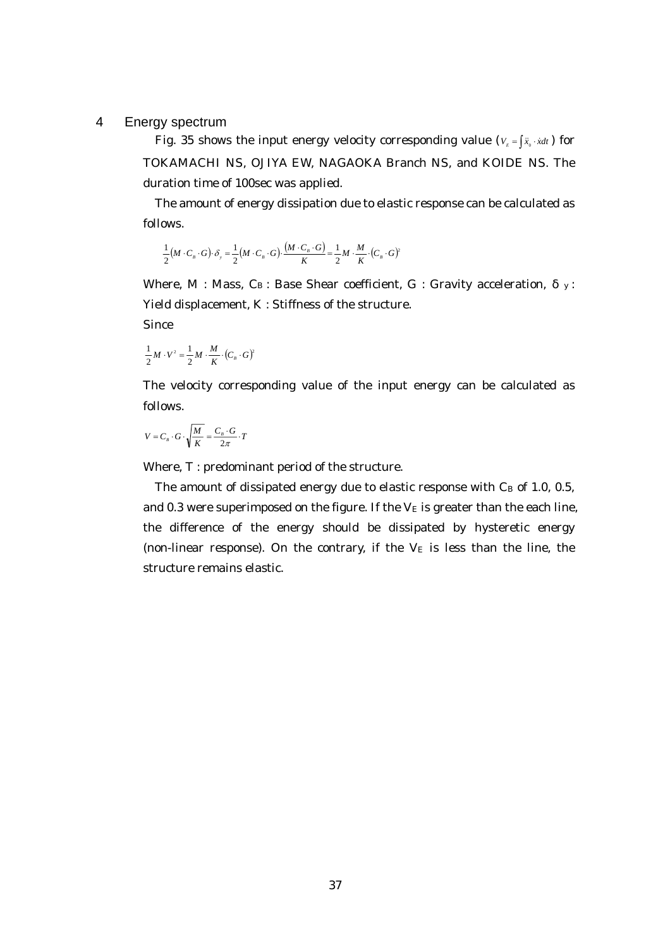### 4 Energy spectrum

Fig. 35 shows the input energy velocity corresponding value ( $V_{E} = \int \tilde{x}_{0} \cdot \dot{x} dt$ ) for TOKAMACHI NS, OJIYA EW, NAGAOKA Branch NS, and KOIDE NS. The duration time of 100sec was applied.

The amount of energy dissipation due to elastic response can be calculated as follows.

$$
\frac{1}{2}(M \cdot C_s \cdot G) \cdot \delta_y = \frac{1}{2}(M \cdot C_s \cdot G) \cdot \frac{(M \cdot C_s \cdot G)}{K} = \frac{1}{2}M \cdot \frac{M}{K} \cdot (C_s \cdot G)^2
$$

Where, M : Mass,  $C_B$ : Base Shear coefficient, G : Gravity acceleration,  $y$ : Yield displacement, K : Stiffness of the structure.

Since

$$
\frac{1}{2}M\cdot V^2=\frac{1}{2}M\cdot\frac{M}{K}\cdot\left(C_{\scriptscriptstyle B}\cdot G\right)^2
$$

The velocity corresponding value of the input energy can be calculated as follows.

$$
V = C_{\scriptscriptstyle B} \cdot G \cdot \sqrt{\frac{M}{K}} = \frac{C_{\scriptscriptstyle B} \cdot G}{2 \pi} \cdot T
$$

Where, T : predominant period of the structure.

The amount of dissipated energy due to elastic response with  $C_B$  of 1.0, 0.5, and 0.3 were superimposed on the figure. If the  $V<sub>E</sub>$  is greater than the each line, the difference of the energy should be dissipated by hysteretic energy (non-linear response). On the contrary, if the  $V<sub>E</sub>$  is less than the line, the structure remains elastic.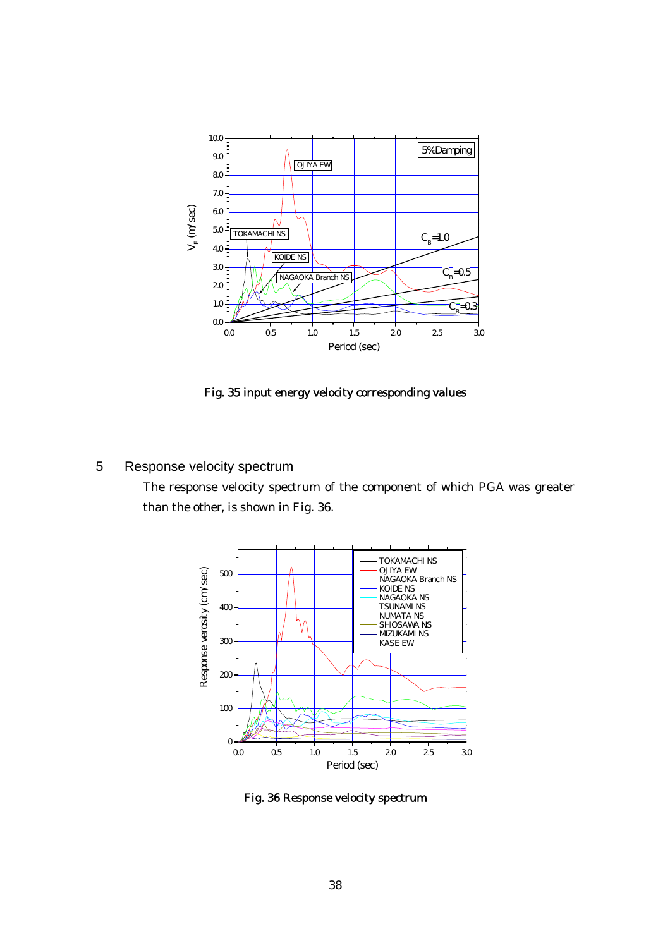

Fig. 35 input energy velocity corresponding values

# 5 Response velocity spectrum

The response velocity spectrum of the component of which PGA was greater than the other, is shown in Fig. 36.



Fig. 36 Response velocity spectrum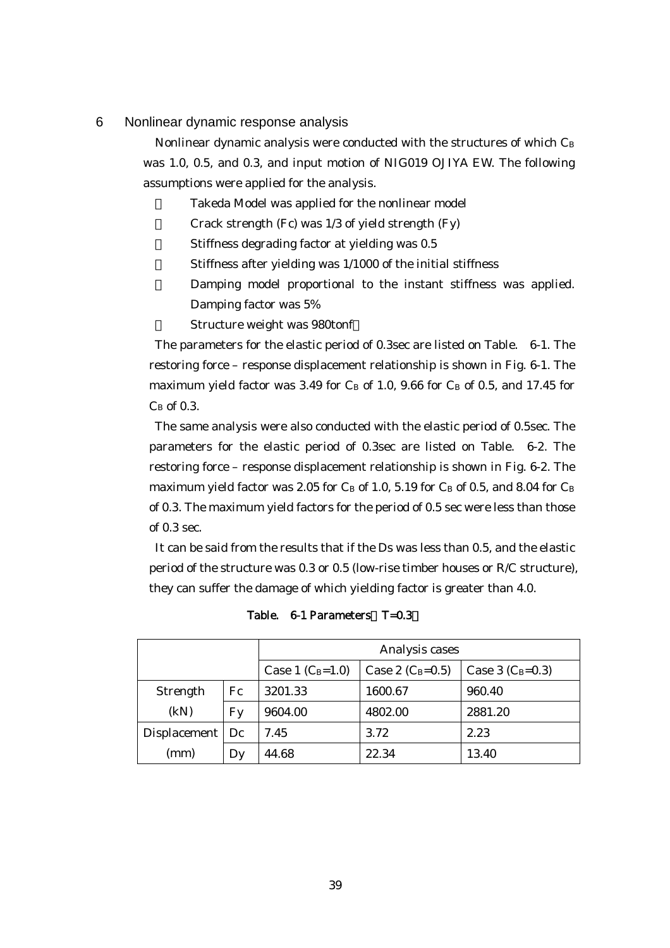#### 6 Nonlinear dynamic response analysis

Nonlinear dynamic analysis were conducted with the structures of which CB was 1.0, 0.5, and 0.3, and input motion of NIG019 OJIYA EW. The following assumptions were applied for the analysis.

Takeda Model was applied for the nonlinear model

Crack strength (Fc) was  $1/3$  of yield strength (Fy)

Stiffness degrading factor at yielding was 0.5

Stiffness after yielding was 1/1000 of the initial stiffness

Damping model proportional to the instant stiffness was applied. Damping factor was 5%

Structure weight was 980tonf

The parameters for the elastic period of 0.3sec are listed on Table. 6-1. The restoring force – response displacement relationship is shown in Fig. 6-1. The maximum yield factor was 3.49 for  $C_B$  of 1.0, 9.66 for  $C_B$  of 0.5, and 17.45 for  $C_B$  of 0.3.

The same analysis were also conducted with the elastic period of 0.5sec. The parameters for the elastic period of 0.3sec are listed on Table. 6-2. The restoring force – response displacement relationship is shown in Fig. 6-2. The maximum yield factor was 2.05 for  $C_B$  of 1.0, 5.19 for  $C_B$  of 0.5, and 8.04 for  $C_B$ of 0.3. The maximum yield factors for the period of 0.5 sec were less than those of 0.3 sec.

It can be said from the results that if the Ds was less than 0.5, and the elastic period of the structure was 0.3 or 0.5 (low-rise timber houses or R/C structure), they can suffer the damage of which yielding factor is greater than 4.0.

|                   |    | Analysis cases     |                    |                    |  |
|-------------------|----|--------------------|--------------------|--------------------|--|
|                   |    | Case 1 $(C_B=1.0)$ | Case 2 $(C_B=0.5)$ | Case 3 $(C_B=0.3)$ |  |
| Strength          | Fc | 3201.33            | 1600.67            | 960.40             |  |
| (kN)              | Fy | 9604.00            | 4802.00            | 2881.20            |  |
| Displacement   Dc |    | 7.45               | 3.72               | 2.23               |  |
| (mm)              | Dy | 44.68              | 22.34              | 13.40              |  |

Table. 6-1 Parameters T=0.3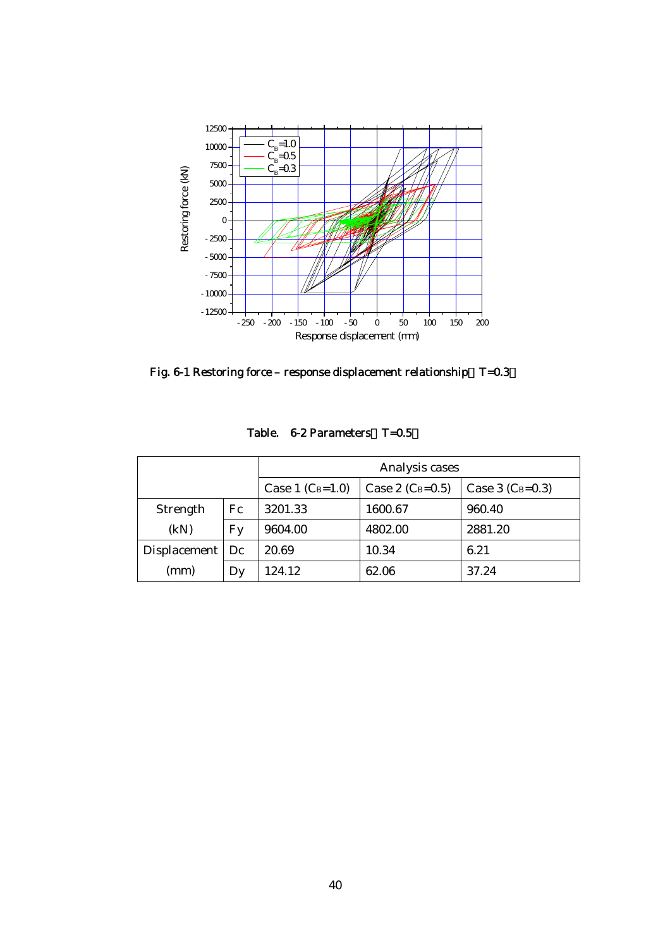

Fig. 6-1 Restoring force – response displacement relationship  $T=0.3$ 

|                   |               | Analysis cases     |                    |                    |  |
|-------------------|---------------|--------------------|--------------------|--------------------|--|
|                   |               | Case 1 $(C_B=1.0)$ | Case 2 $(C_B=0.5)$ | Case 3 $(C_B=0.3)$ |  |
| Strength          | Fc<br>3201.33 |                    | 1600.67            | 960.40             |  |
| (kN)              | Fy            | 9604.00            | 4802.00            | 2881.20            |  |
| Displacement   Dc |               | 20.69              | 10.34              | 6.21               |  |
| (mm)              | Dy            | 124.12             | 62.06              | 37.24              |  |

Table. 6-2 Parameters T=0.5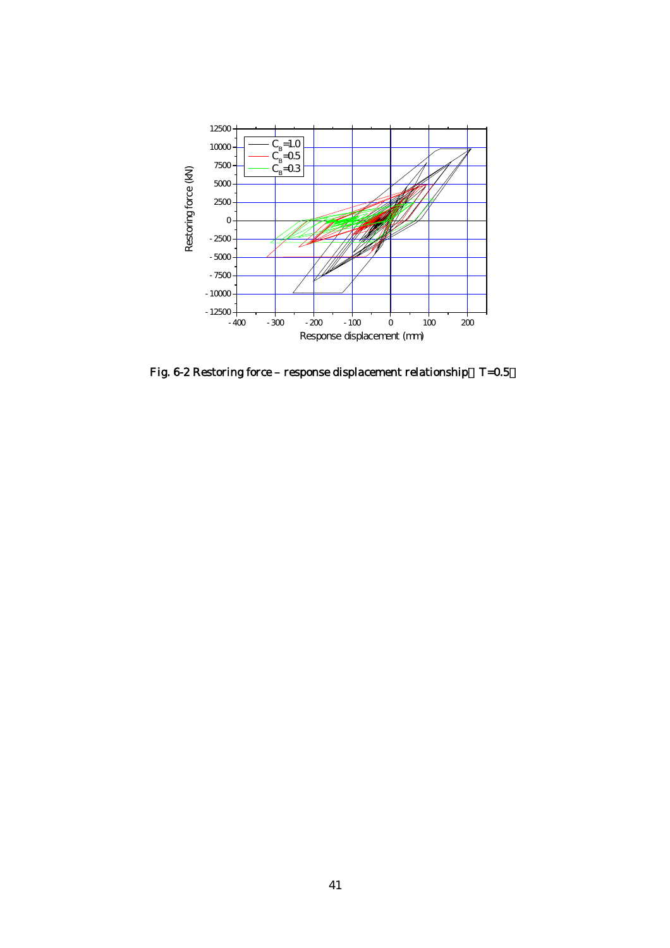

Fig. 6-2 Restoring force – response displacement relationship  $T=0.5$